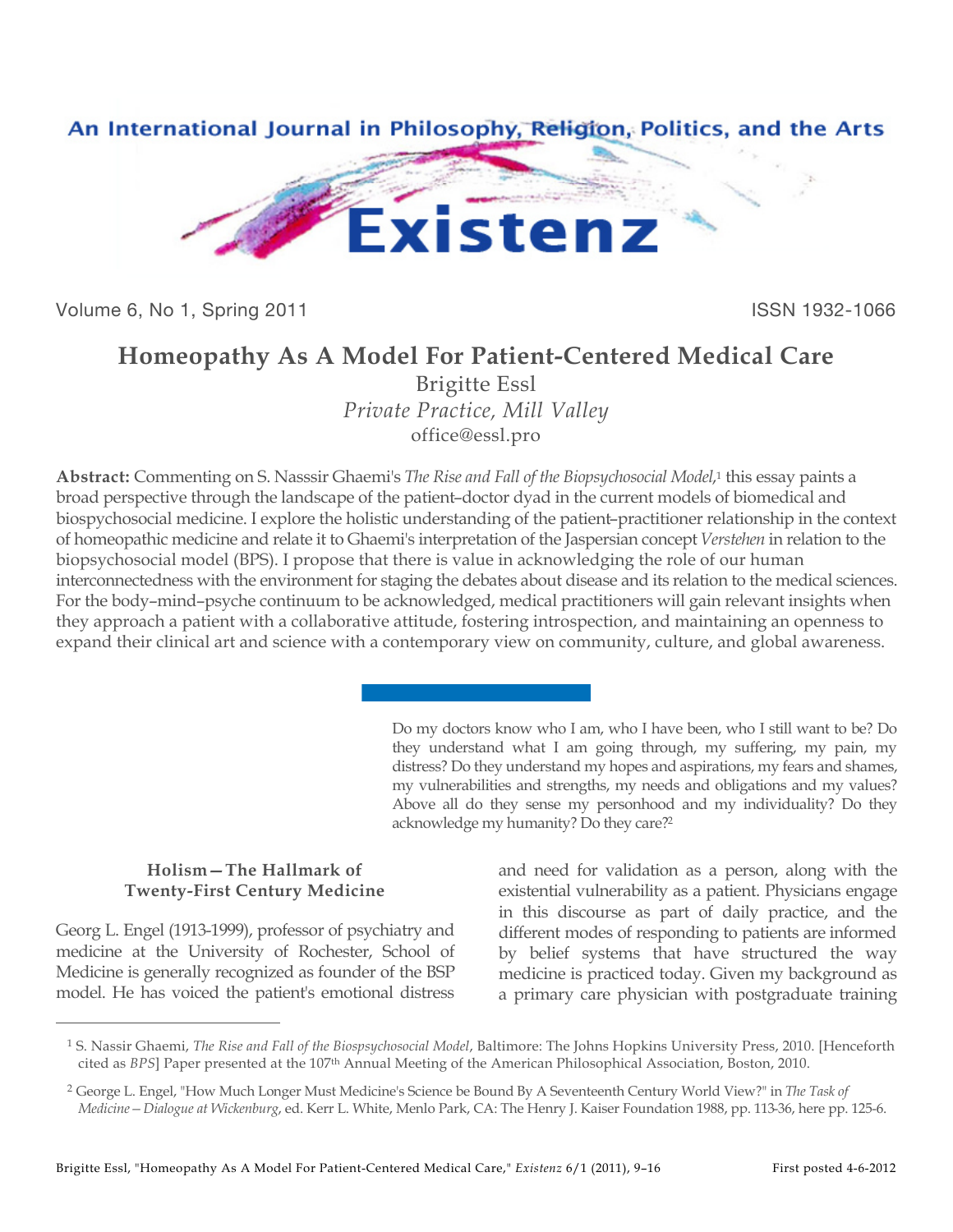

Volume 6, No 1, Spring 2011 **ISSN 1932-1066** 

## **Homeopathy As A Model For Patient-Centered Medical Care**

Brigitte Essl *Private Practice, Mill Valley* office@essl.pro

**Abstract:** Commenting on S. Nasssir Ghaemi's *The Rise and Fall of the Biopsychosocial Model*,1 this essay paints a broad perspective through the landscape of the patient–doctor dyad in the current models of biomedical and biospychosocial medicine. I explore the holistic understanding of the patient–practitioner relationship in the context of homeopathic medicine and relate it to Ghaemi's interpretation of the Jaspersian concept *Verstehen* in relation to the biopsychosocial model (BPS). I propose that there is value in acknowledging the role of our human interconnectedness with the environment for staging the debates about disease and its relation to the medical sciences. For the body–mind–psyche continuum to be acknowledged, medical practitioners will gain relevant insights when they approach a patient with a collaborative attitude, fostering introspection, and maintaining an openness to expand their clinical art and science with a contemporary view on community, culture, and global awareness.

> Do my doctors know who I am, who I have been, who I still want to be? Do they understand what I am going through, my suffering, my pain, my distress? Do they understand my hopes and aspirations, my fears and shames, my vulnerabilities and strengths, my needs and obligations and my values? Above all do they sense my personhood and my individuality? Do they acknowledge my humanity? Do they care?2

## **Holism—The Hallmark of Twenty-First Century Medicine**

Georg L. Engel (1913-1999), professor of psychiatry and medicine at the University of Rochester, School of Medicine is generally recognized as founder of the BSP model. He has voiced the patient's emotional distress

 $\overline{a}$ 

and need for validation as a person, along with the existential vulnerability as a patient. Physicians engage in this discourse as part of daily practice, and the different modes of responding to patients are informed by belief systems that have structured the way medicine is practiced today. Given my background as a primary care physician with postgraduate training

<sup>1</sup> S. Nassir Ghaemi, *The Rise and Fall of the Biospsychosocial Model*, Baltimore: The Johns Hopkins University Press, 2010. [Henceforth cited as *BPS*] Paper presented at the 107th Annual Meeting of the American Philosophical Association, Boston, 2010.

<sup>2</sup> George L. Engel, "How Much Longer Must Medicine's Science be Bound By A Seventeenth Century World View?" in *The Task of Medicine—Dialogue at Wickenburg*, ed. Kerr L. White, Menlo Park, CA: The Henry J. Kaiser Foundation 1988, pp. 113-36, here pp. 125-6.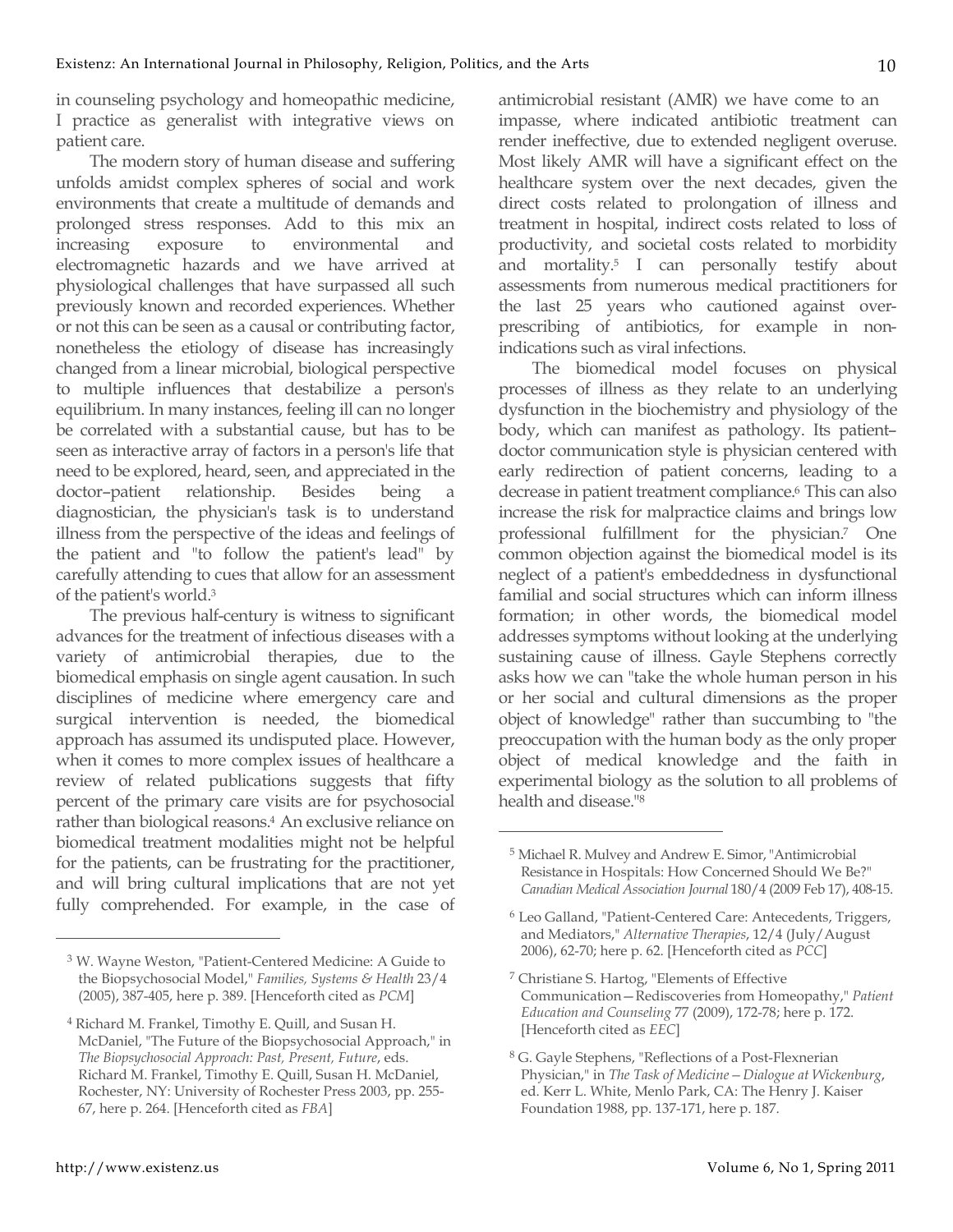in counseling psychology and homeopathic medicine, I practice as generalist with integrative views on patient care.

The modern story of human disease and suffering unfolds amidst complex spheres of social and work environments that create a multitude of demands and prolonged stress responses. Add to this mix an increasing exposure to environmental and electromagnetic hazards and we have arrived at physiological challenges that have surpassed all such previously known and recorded experiences. Whether or not this can be seen as a causal or contributing factor, nonetheless the etiology of disease has increasingly changed from a linear microbial, biological perspective to multiple influences that destabilize a person's equilibrium. In many instances, feeling ill can no longer be correlated with a substantial cause, but has to be seen as interactive array of factors in a person's life that need to be explored, heard, seen, and appreciated in the doctor–patient relationship. Besides being a diagnostician, the physician's task is to understand illness from the perspective of the ideas and feelings of the patient and "to follow the patient's lead" by carefully attending to cues that allow for an assessment of the patient's world.3

The previous half-century is witness to significant advances for the treatment of infectious diseases with a variety of antimicrobial therapies, due to the biomedical emphasis on single agent causation. In such disciplines of medicine where emergency care and surgical intervention is needed, the biomedical approach has assumed its undisputed place. However, when it comes to more complex issues of healthcare a review of related publications suggests that fifty percent of the primary care visits are for psychosocial rather than biological reasons.4 An exclusive reliance on biomedical treatment modalities might not be helpful for the patients, can be frustrating for the practitioner, and will bring cultural implications that are not yet fully comprehended. For example, in the case of antimicrobial resistant (AMR) we have come to an impasse, where indicated antibiotic treatment can render ineffective, due to extended negligent overuse. Most likely AMR will have a significant effect on the healthcare system over the next decades, given the direct costs related to prolongation of illness and treatment in hospital, indirect costs related to loss of productivity, and societal costs related to morbidity and mortality.5 I can personally testify about assessments from numerous medical practitioners for the last 25 years who cautioned against overprescribing of antibiotics, for example in nonindications such as viral infections.

10

The biomedical model focuses on physical processes of illness as they relate to an underlying dysfunction in the biochemistry and physiology of the body, which can manifest as pathology. Its patient– doctor communication style is physician centered with early redirection of patient concerns, leading to a decrease in patient treatment compliance.<sup>6</sup> This can also increase the risk for malpractice claims and brings low professional fulfillment for the physician.7 One common objection against the biomedical model is its neglect of a patient's embeddedness in dysfunctional familial and social structures which can inform illness formation; in other words, the biomedical model addresses symptoms without looking at the underlying sustaining cause of illness. Gayle Stephens correctly asks how we can "take the whole human person in his or her social and cultural dimensions as the proper object of knowledge" rather than succumbing to "the preoccupation with the human body as the only proper object of medical knowledge and the faith in experimental biology as the solution to all problems of health and disease."8

 $\overline{a}$ 

<sup>3</sup> W. Wayne Weston, "Patient-Centered Medicine: A Guide to the Biopsychosocial Model," *Families, Systems & Health* 23/4 (2005), 387-405, here p. 389. [Henceforth cited as *PCM*]

<sup>4</sup> Richard M. Frankel, Timothy E. Quill, and Susan H. McDaniel, "The Future of the Biopsychosocial Approach," in *The Biopsychosocial Approach: Past, Present, Future*, eds. Richard M. Frankel, Timothy E. Quill, Susan H. McDaniel, Rochester, NY: University of Rochester Press 2003, pp. 255- 67, here p. 264. [Henceforth cited as *FBA*]

<sup>5</sup> Michael R. Mulvey and Andrew E. Simor, "Antimicrobial Resistance in Hospitals: How Concerned Should We Be?" *Canadian Medical Association Journal* 180/4 (2009 Feb 17), 408-15.

<sup>6</sup> Leo Galland, "Patient-Centered Care: Antecedents, Triggers, and Mediators," *Alternative Therapies*, 12/4 (July/August 2006), 62-70; here p. 62. [Henceforth cited as *PCC*]

<sup>7</sup> Christiane S. Hartog, "Elements of Effective Communication—Rediscoveries from Homeopathy," *Patient Education and Counseling* 77 (2009), 172-78; here p. 172. [Henceforth cited as *EEC*]

<sup>8</sup> G. Gayle Stephens, "Reflections of a Post-Flexnerian Physician," in *The Task of Medicine—Dialogue at Wickenburg*, ed. Kerr L. White, Menlo Park, CA: The Henry J. Kaiser Foundation 1988, pp. 137-171, here p. 187.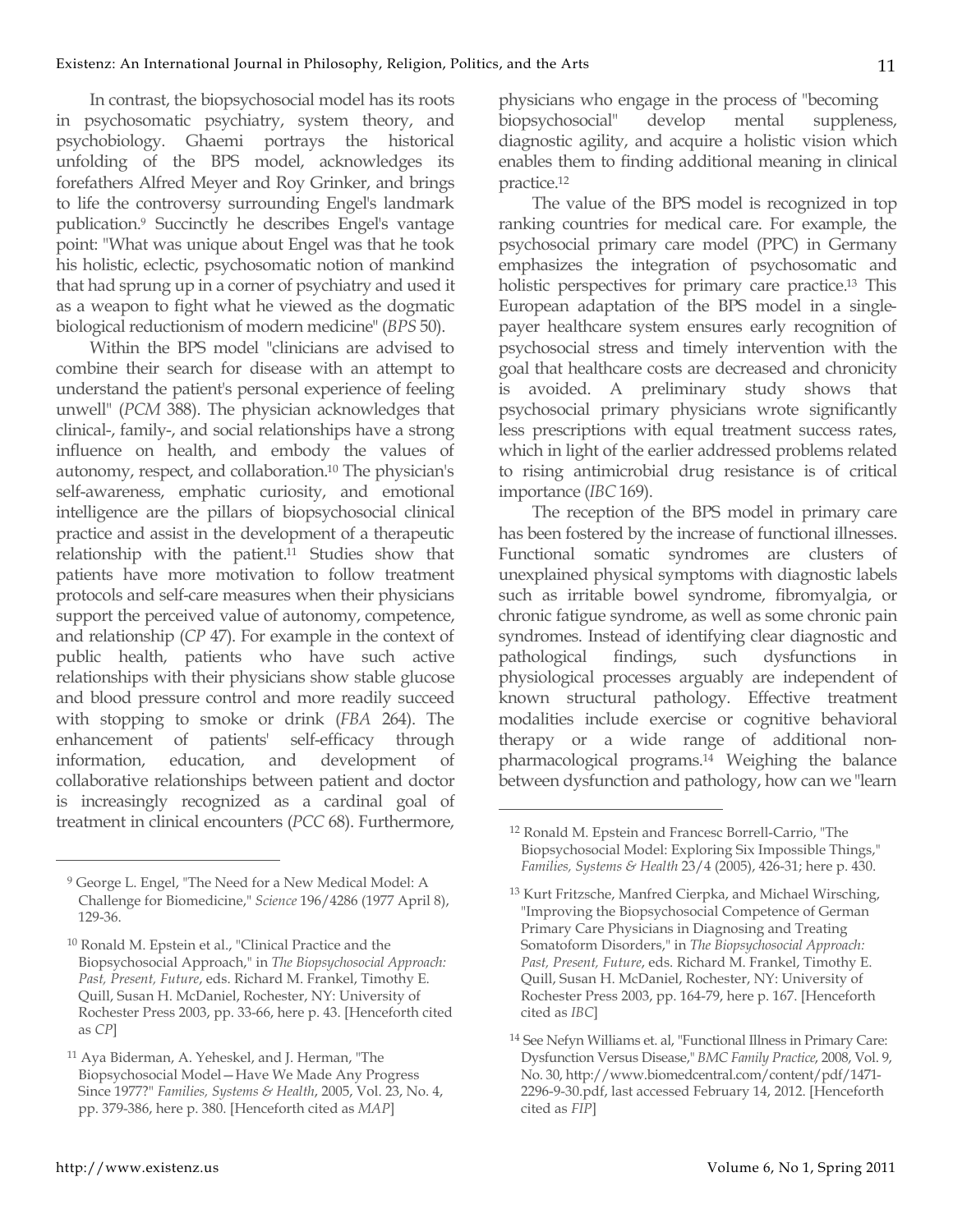In contrast, the biopsychosocial model has its roots in psychosomatic psychiatry, system theory, and psychobiology. Ghaemi portrays the historical unfolding of the BPS model, acknowledges its forefathers Alfred Meyer and Roy Grinker, and brings to life the controversy surrounding Engel's landmark publication.9 Succinctly he describes Engel's vantage point: "What was unique about Engel was that he took his holistic, eclectic, psychosomatic notion of mankind that had sprung up in a corner of psychiatry and used it as a weapon to fight what he viewed as the dogmatic biological reductionism of modern medicine" (*BPS* 50).

Within the BPS model "clinicians are advised to combine their search for disease with an attempt to understand the patient's personal experience of feeling unwell" (*PCM* 388). The physician acknowledges that clinical-, family-, and social relationships have a strong influence on health, and embody the values of autonomy, respect, and collaboration.10 The physician's self-awareness, emphatic curiosity, and emotional intelligence are the pillars of biopsychosocial clinical practice and assist in the development of a therapeutic relationship with the patient.<sup>11</sup> Studies show that patients have more motivation to follow treatment protocols and self-care measures when their physicians support the perceived value of autonomy, competence, and relationship (*CP* 47). For example in the context of public health, patients who have such active relationships with their physicians show stable glucose and blood pressure control and more readily succeed with stopping to smoke or drink (*FBA* 264). The enhancement of patients' self-efficacy through information, education, and development collaborative relationships between patient and doctor is increasingly recognized as a cardinal goal of treatment in clinical encounters (*PCC* 68). Furthermore,

physicians who engage in the process of "becoming biopsychosocial" develop mental suppleness, diagnostic agility, and acquire a holistic vision which enables them to finding additional meaning in clinical practice.12

The value of the BPS model is recognized in top ranking countries for medical care. For example, the psychosocial primary care model (PPC) in Germany emphasizes the integration of psychosomatic and holistic perspectives for primary care practice.13 This European adaptation of the BPS model in a singlepayer healthcare system ensures early recognition of psychosocial stress and timely intervention with the goal that healthcare costs are decreased and chronicity is avoided. A preliminary study shows that psychosocial primary physicians wrote significantly less prescriptions with equal treatment success rates, which in light of the earlier addressed problems related to rising antimicrobial drug resistance is of critical importance (*IBC* 169).

The reception of the BPS model in primary care has been fostered by the increase of functional illnesses. Functional somatic syndromes are clusters of unexplained physical symptoms with diagnostic labels such as irritable bowel syndrome, fibromyalgia, or chronic fatigue syndrome, as well as some chronic pain syndromes. Instead of identifying clear diagnostic and pathological findings, such dysfunctions in physiological processes arguably are independent of known structural pathology. Effective treatment modalities include exercise or cognitive behavioral therapy or a wide range of additional nonpharmacological programs.14 Weighing the balance between dysfunction and pathology, how can we "learn

 $\overline{a}$ 

<sup>9</sup> George L. Engel, "The Need for a New Medical Model: A Challenge for Biomedicine," *Science* 196/4286 (1977 April 8), 129-36.

<sup>10</sup> Ronald M. Epstein et al., "Clinical Practice and the Biopsychosocial Approach," in *The Biopsychosocial Approach: Past, Present, Future*, eds. Richard M. Frankel, Timothy E. Quill, Susan H. McDaniel, Rochester, NY: University of Rochester Press 2003, pp. 33-66, here p. 43. [Henceforth cited as *CP*]

<sup>11</sup> Aya Biderman, A. Yeheskel, and J. Herman, "The Biopsychosocial Model—Have We Made Any Progress Since 1977?" *Families, Systems & Health*, 2005, Vol. 23, No. 4, pp. 379-386, here p. 380. [Henceforth cited as *MAP*]

<sup>12</sup> Ronald M. Epstein and Francesc Borrell-Carrio, "The Biopsychosocial Model: Exploring Six Impossible Things," *Families, Systems & Health* 23/4 (2005), 426-31; here p. 430.

<sup>&</sup>lt;sup>13</sup> Kurt Fritzsche, Manfred Cierpka, and Michael Wirsching, "Improving the Biopsychosocial Competence of German Primary Care Physicians in Diagnosing and Treating Somatoform Disorders," in *The Biopsychosocial Approach: Past, Present, Future*, eds. Richard M. Frankel, Timothy E. Quill, Susan H. McDaniel, Rochester, NY: University of Rochester Press 2003, pp. 164-79, here p. 167. [Henceforth cited as *IBC*]

<sup>14</sup> See Nefyn Williams et. al, "Functional Illness in Primary Care: Dysfunction Versus Disease," *BMC Family Practice*, 2008, Vol. 9, No. 30, http://www.biomedcentral.com/content/pdf/1471- 2296-9-30.pdf, last accessed February 14, 2012. [Henceforth cited as *FIP*]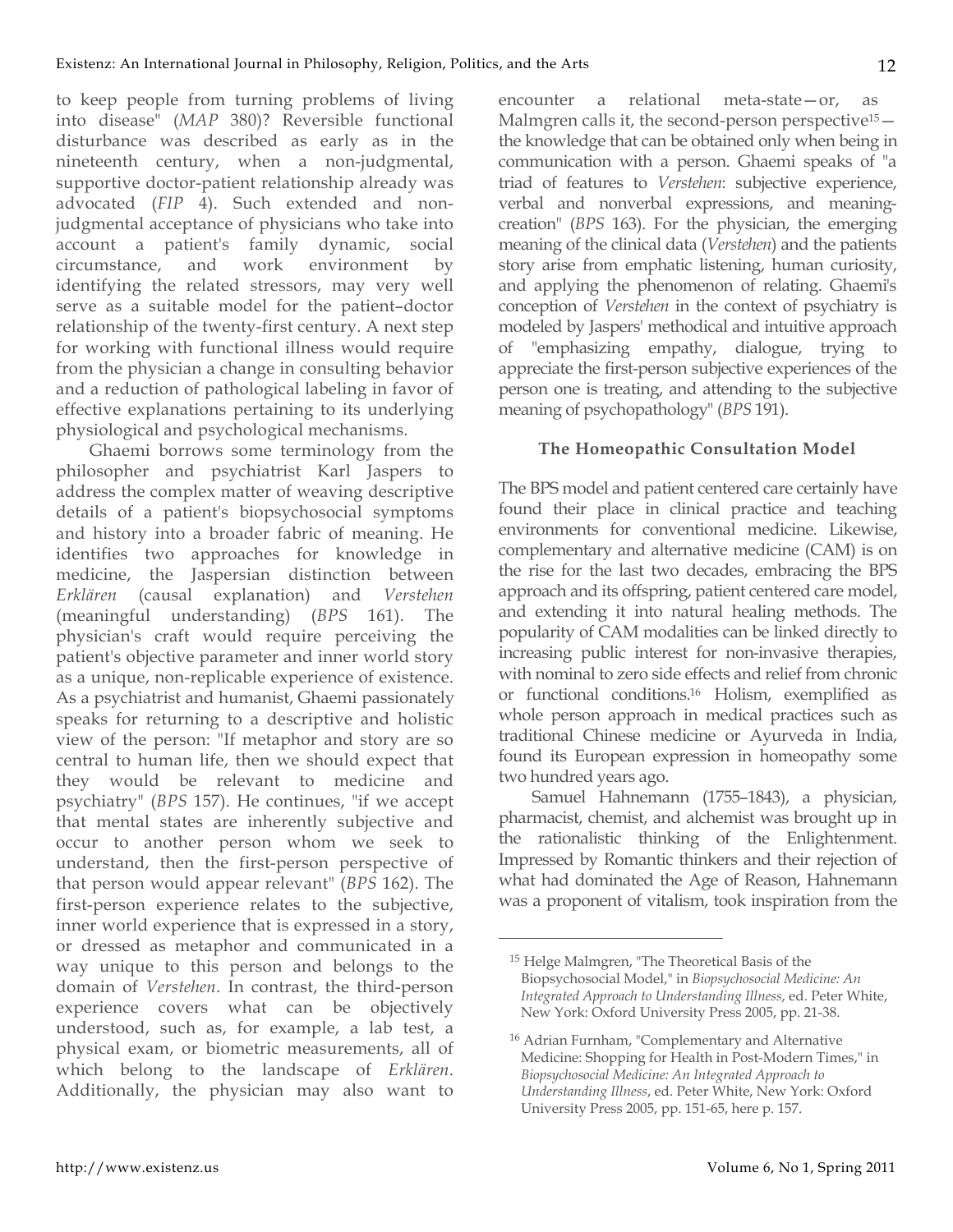to keep people from turning problems of living into disease" (*MAP* 380)? Reversible functional disturbance was described as early as in the nineteenth century, when a non-judgmental, supportive doctor-patient relationship already was advocated (*FIP* 4). Such extended and nonjudgmental acceptance of physicians who take into account a patient's family dynamic, social circumstance, and work environment by identifying the related stressors, may very well serve as a suitable model for the patient–doctor relationship of the twenty-first century. A next step for working with functional illness would require from the physician a change in consulting behavior and a reduction of pathological labeling in favor of effective explanations pertaining to its underlying physiological and psychological mechanisms.

Ghaemi borrows some terminology from the philosopher and psychiatrist Karl Jaspers to address the complex matter of weaving descriptive details of a patient's biopsychosocial symptoms and history into a broader fabric of meaning. He identifies two approaches for knowledge in medicine, the Jaspersian distinction between *Erklären* (causal explanation) and *Verstehen* (meaningful understanding) (*BPS* 161). The physician's craft would require perceiving the patient's objective parameter and inner world story as a unique, non-replicable experience of existence. As a psychiatrist and humanist, Ghaemi passionately speaks for returning to a descriptive and holistic view of the person: "If metaphor and story are so central to human life, then we should expect that they would be relevant to medicine and psychiatry" (*BPS* 157). He continues, "if we accept that mental states are inherently subjective and occur to another person whom we seek to understand, then the first-person perspective of that person would appear relevant" (*BPS* 162). The first-person experience relates to the subjective, inner world experience that is expressed in a story, or dressed as metaphor and communicated in a way unique to this person and belongs to the domain of *Verstehen*. In contrast, the third-person experience covers what can be objectively understood, such as, for example, a lab test, a physical exam, or biometric measurements, all of which belong to the landscape of *Erklären*. Additionally, the physician may also want to

encounter a relational meta-state—or, as Malmgren calls it, the second-person perspective<sup>15</sup> the knowledge that can be obtained only when being in communication with a person. Ghaemi speaks of "a triad of features to *Verstehen*: subjective experience, verbal and nonverbal expressions, and meaningcreation" (*BPS* 163). For the physician, the emerging meaning of the clinical data (*Verstehen*) and the patients story arise from emphatic listening, human curiosity, and applying the phenomenon of relating. Ghaemi's conception of *Verstehen* in the context of psychiatry is modeled by Jaspers' methodical and intuitive approach of "emphasizing empathy, dialogue, trying to appreciate the first-person subjective experiences of the person one is treating, and attending to the subjective meaning of psychopathology" (*BPS* 191).

## **The Homeopathic Consultation Model**

The BPS model and patient centered care certainly have found their place in clinical practice and teaching environments for conventional medicine. Likewise, complementary and alternative medicine (CAM) is on the rise for the last two decades, embracing the BPS approach and its offspring, patient centered care model, and extending it into natural healing methods. The popularity of CAM modalities can be linked directly to increasing public interest for non-invasive therapies, with nominal to zero side effects and relief from chronic or functional conditions.16 Holism, exemplified as whole person approach in medical practices such as traditional Chinese medicine or Ayurveda in India, found its European expression in homeopathy some two hundred years ago.

Samuel Hahnemann (1755–1843), a physician, pharmacist, chemist, and alchemist was brought up in the rationalistic thinking of the Enlightenment. Impressed by Romantic thinkers and their rejection of what had dominated the Age of Reason, Hahnemann was a proponent of vitalism, took inspiration from the

<sup>15</sup> Helge Malmgren, "The Theoretical Basis of the Biopsychosocial Model," in *Biopsychosocial Medicine: An Integrated Approach to Understanding Illness*, ed. Peter White, New York: Oxford University Press 2005, pp. 21-38.

<sup>16</sup> Adrian Furnham, "Complementary and Alternative Medicine: Shopping for Health in Post-Modern Times," in *Biopsychosocial Medicine: An Integrated Approach to Understanding Illness*, ed. Peter White, New York: Oxford University Press 2005, pp. 151-65, here p. 157.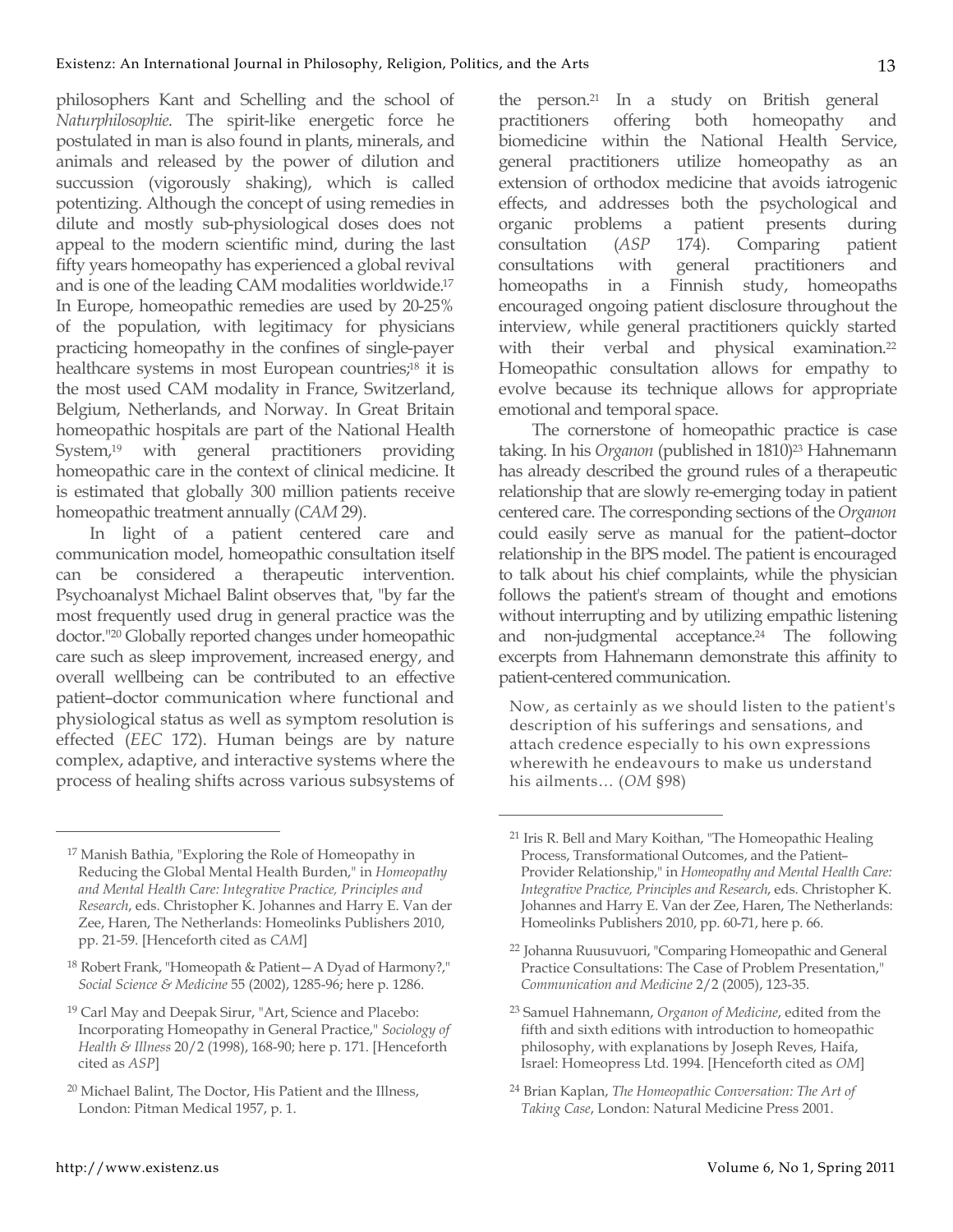philosophers Kant and Schelling and the school of *Naturphilosophie*. The spirit-like energetic force he postulated in man is also found in plants, minerals, and animals and released by the power of dilution and succussion (vigorously shaking), which is called potentizing. Although the concept of using remedies in dilute and mostly sub-physiological doses does not appeal to the modern scientific mind, during the last fifty years homeopathy has experienced a global revival and is one of the leading CAM modalities worldwide.17 In Europe, homeopathic remedies are used by 20-25% of the population, with legitimacy for physicians practicing homeopathy in the confines of single-payer healthcare systems in most European countries;<sup>18</sup> it is the most used CAM modality in France, Switzerland, Belgium, Netherlands, and Norway. In Great Britain homeopathic hospitals are part of the National Health System,19 with general practitioners providing homeopathic care in the context of clinical medicine. It is estimated that globally 300 million patients receive homeopathic treatment annually (*CAM* 29).

In light of a patient centered care and communication model, homeopathic consultation itself can be considered a therapeutic intervention. Psychoanalyst Michael Balint observes that, "by far the most frequently used drug in general practice was the doctor."20 Globally reported changes under homeopathic care such as sleep improvement, increased energy, and overall wellbeing can be contributed to an effective patient–doctor communication where functional and physiological status as well as symptom resolution is effected (*EEC* 172). Human beings are by nature complex, adaptive, and interactive systems where the process of healing shifts across various subsystems of

<sup>18</sup> Robert Frank, "Homeopath & Patient—A Dyad of Harmony?," *Social Science & Medicine* 55 (2002), 1285-96; here p. 1286.

the person.21 In a study on British general practitioners offering both homeopathy and biomedicine within the National Health Service, general practitioners utilize homeopathy as an extension of orthodox medicine that avoids iatrogenic effects, and addresses both the psychological and organic problems a patient presents during consultation (*ASP* 174). Comparing patient consultations with general practitioners and homeopaths in a Finnish study, homeopaths encouraged ongoing patient disclosure throughout the interview, while general practitioners quickly started with their verbal and physical examination.<sup>22</sup> Homeopathic consultation allows for empathy to evolve because its technique allows for appropriate emotional and temporal space.

The cornerstone of homeopathic practice is case taking. In his *Organon* (published in 1810)<sup>23</sup> Hahnemann has already described the ground rules of a therapeutic relationship that are slowly re-emerging today in patient centered care. The corresponding sections of the *Organon* could easily serve as manual for the patient–doctor relationship in the BPS model. The patient is encouraged to talk about his chief complaints, while the physician follows the patient's stream of thought and emotions without interrupting and by utilizing empathic listening and non-judgmental acceptance.<sup>24</sup> The following excerpts from Hahnemann demonstrate this affinity to patient-centered communication.

Now, as certainly as we should listen to the patient's description of his sufferings and sensations, and attach credence especially to his own expressions wherewith he endeavours to make us understand his ailments… (*OM* §98)

 $\overline{a}$ 

<sup>17</sup> Manish Bathia, "Exploring the Role of Homeopathy in Reducing the Global Mental Health Burden," in *Homeopathy and Mental Health Care: Integrative Practice, Principles and Research*, eds. Christopher K. Johannes and Harry E. Van der Zee, Haren, The Netherlands: Homeolinks Publishers 2010, pp. 21-59. [Henceforth cited as *CAM*]

<sup>19</sup> Carl May and Deepak Sirur, "Art, Science and Placebo: Incorporating Homeopathy in General Practice," *Sociology of Health & Illness* 20/2 (1998), 168-90; here p. 171. [Henceforth cited as *ASP*]

<sup>20</sup> Michael Balint, The Doctor, His Patient and the Illness, London: Pitman Medical 1957, p. 1.

<sup>21</sup> Iris R. Bell and Mary Koithan, "The Homeopathic Healing Process, Transformational Outcomes, and the Patient– Provider Relationship," in *Homeopathy and Mental Health Care: Integrative Practice, Principles and Research*, eds. Christopher K. Johannes and Harry E. Van der Zee, Haren, The Netherlands: Homeolinks Publishers 2010, pp. 60-71, here p. 66.

<sup>22</sup> Johanna Ruusuvuori, "Comparing Homeopathic and General Practice Consultations: The Case of Problem Presentation," *Communication and Medicine* 2/2 (2005), 123-35.

<sup>23</sup> Samuel Hahnemann, *Organon of Medicine*, edited from the fifth and sixth editions with introduction to homeopathic philosophy, with explanations by Joseph Reves, Haifa, Israel: Homeopress Ltd. 1994. [Henceforth cited as *OM*]

<sup>24</sup> Brian Kaplan, *The Homeopathic Conversation: The Art of Taking Case*, London: Natural Medicine Press 2001.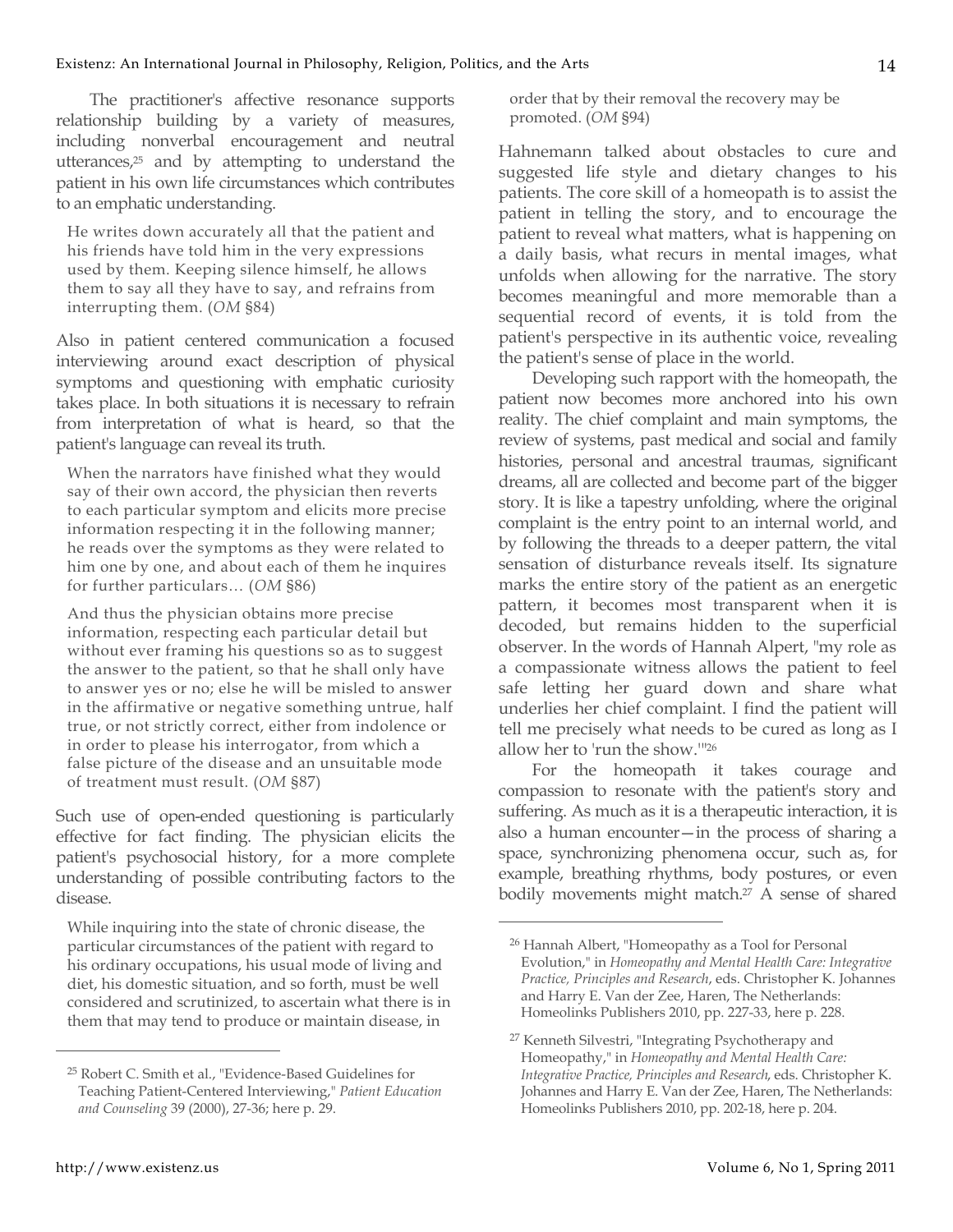The practitioner's affective resonance supports relationship building by a variety of measures, including nonverbal encouragement and neutral utterances,25 and by attempting to understand the patient in his own life circumstances which contributes to an emphatic understanding.

He writes down accurately all that the patient and his friends have told him in the very expressions used by them. Keeping silence himself, he allows them to say all they have to say, and refrains from interrupting them. (*OM* §84)

Also in patient centered communication a focused interviewing around exact description of physical symptoms and questioning with emphatic curiosity takes place. In both situations it is necessary to refrain from interpretation of what is heard, so that the patient's language can reveal its truth.

When the narrators have finished what they would say of their own accord, the physician then reverts to each particular symptom and elicits more precise information respecting it in the following manner; he reads over the symptoms as they were related to him one by one, and about each of them he inquires for further particulars… (*OM* §86)

And thus the physician obtains more precise information, respecting each particular detail but without ever framing his questions so as to suggest the answer to the patient, so that he shall only have to answer yes or no; else he will be misled to answer in the affirmative or negative something untrue, half true, or not strictly correct, either from indolence or in order to please his interrogator, from which a false picture of the disease and an unsuitable mode of treatment must result. (*OM* §87)

Such use of open-ended questioning is particularly effective for fact finding. The physician elicits the patient's psychosocial history, for a more complete understanding of possible contributing factors to the disease.

While inquiring into the state of chronic disease, the particular circumstances of the patient with regard to his ordinary occupations, his usual mode of living and diet, his domestic situation, and so forth, must be well considered and scrutinized, to ascertain what there is in them that may tend to produce or maintain disease, in

order that by their removal the recovery may be promoted. (*OM* §94)

Hahnemann talked about obstacles to cure and suggested life style and dietary changes to his patients. The core skill of a homeopath is to assist the patient in telling the story, and to encourage the patient to reveal what matters, what is happening on a daily basis, what recurs in mental images, what unfolds when allowing for the narrative. The story becomes meaningful and more memorable than a sequential record of events, it is told from the patient's perspective in its authentic voice, revealing the patient's sense of place in the world.

Developing such rapport with the homeopath, the patient now becomes more anchored into his own reality. The chief complaint and main symptoms, the review of systems, past medical and social and family histories, personal and ancestral traumas, significant dreams, all are collected and become part of the bigger story. It is like a tapestry unfolding, where the original complaint is the entry point to an internal world, and by following the threads to a deeper pattern, the vital sensation of disturbance reveals itself. Its signature marks the entire story of the patient as an energetic pattern, it becomes most transparent when it is decoded, but remains hidden to the superficial observer. In the words of Hannah Alpert, "my role as a compassionate witness allows the patient to feel safe letting her guard down and share what underlies her chief complaint. I find the patient will tell me precisely what needs to be cured as long as I allow her to 'run the show.'"26

For the homeopath it takes courage and compassion to resonate with the patient's story and suffering. As much as it is a therapeutic interaction, it is also a human encounter—in the process of sharing a space, synchronizing phenomena occur, such as, for example, breathing rhythms, body postures, or even bodily movements might match.27 A sense of shared

 $\overline{a}$ 

<sup>25</sup> Robert C. Smith et al., "Evidence-Based Guidelines for Teaching Patient-Centered Interviewing," *Patient Education and Counseling* 39 (2000), 27-36; here p. 29.

<sup>26</sup> Hannah Albert, "Homeopathy as a Tool for Personal Evolution," in *Homeopathy and Mental Health Care: Integrative Practice, Principles and Research*, eds. Christopher K. Johannes and Harry E. Van der Zee, Haren, The Netherlands: Homeolinks Publishers 2010, pp. 227-33, here p. 228.

<sup>27</sup> Kenneth Silvestri, "Integrating Psychotherapy and Homeopathy," in *Homeopathy and Mental Health Care: Integrative Practice, Principles and Research*, eds. Christopher K. Johannes and Harry E. Van der Zee, Haren, The Netherlands: Homeolinks Publishers 2010, pp. 202-18, here p. 204.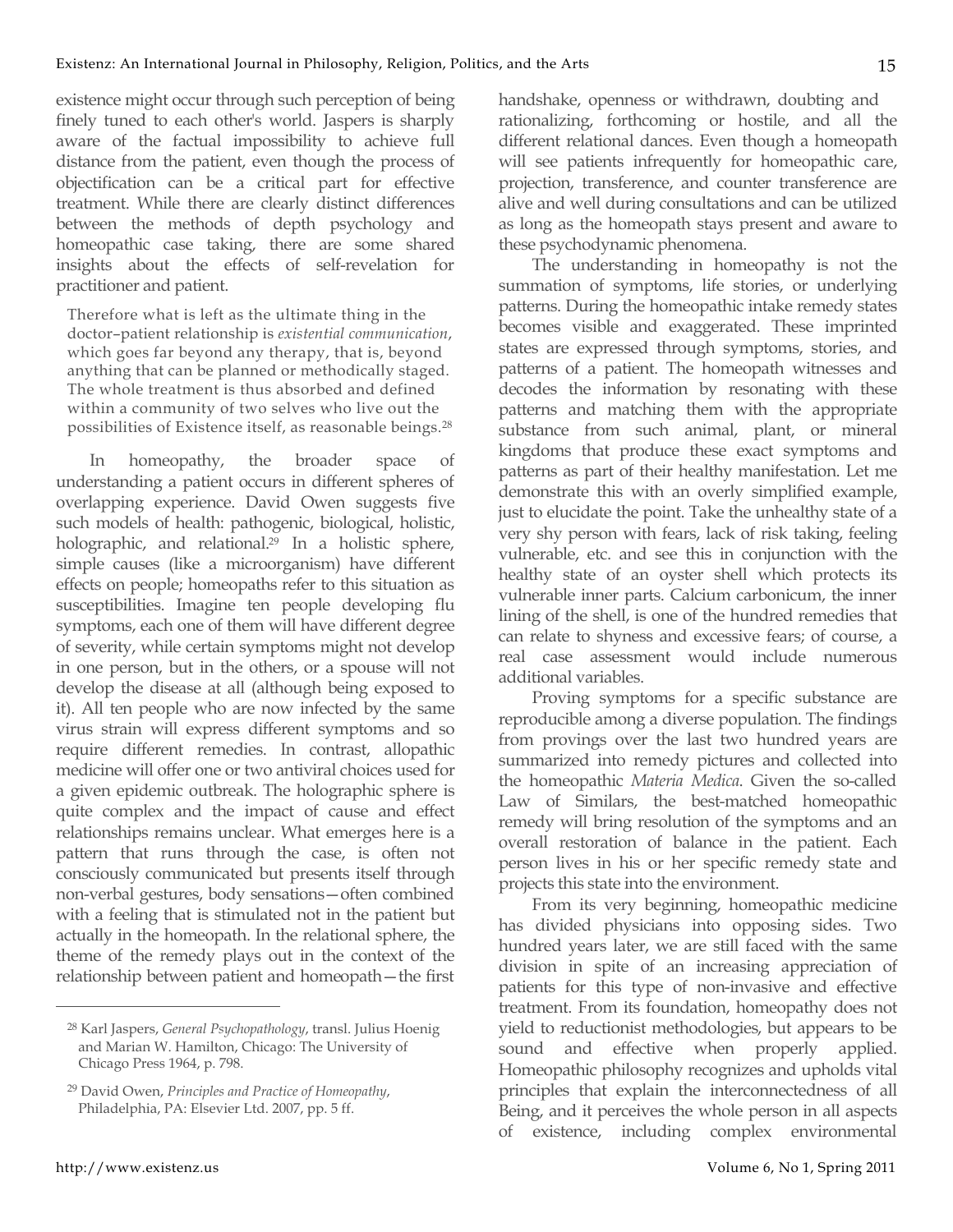existence might occur through such perception of being finely tuned to each other's world. Jaspers is sharply aware of the factual impossibility to achieve full distance from the patient, even though the process of objectification can be a critical part for effective treatment. While there are clearly distinct differences between the methods of depth psychology and homeopathic case taking, there are some shared insights about the effects of self-revelation for practitioner and patient.

Therefore what is left as the ultimate thing in the doctor–patient relationship is *existential communication*, which goes far beyond any therapy, that is, beyond anything that can be planned or methodically staged. The whole treatment is thus absorbed and defined within a community of two selves who live out the possibilities of Existence itself, as reasonable beings.28

In homeopathy, the broader space of understanding a patient occurs in different spheres of overlapping experience. David Owen suggests five such models of health: pathogenic, biological, holistic, holographic, and relational.<sup>29</sup> In a holistic sphere, simple causes (like a microorganism) have different effects on people; homeopaths refer to this situation as susceptibilities. Imagine ten people developing flu symptoms, each one of them will have different degree of severity, while certain symptoms might not develop in one person, but in the others, or a spouse will not develop the disease at all (although being exposed to it). All ten people who are now infected by the same virus strain will express different symptoms and so require different remedies. In contrast, allopathic medicine will offer one or two antiviral choices used for a given epidemic outbreak. The holographic sphere is quite complex and the impact of cause and effect relationships remains unclear. What emerges here is a pattern that runs through the case, is often not consciously communicated but presents itself through non-verbal gestures, body sensations—often combined with a feeling that is stimulated not in the patient but actually in the homeopath. In the relational sphere, the theme of the remedy plays out in the context of the relationship between patient and homeopath—the first handshake, openness or withdrawn, doubting and rationalizing, forthcoming or hostile, and all the different relational dances. Even though a homeopath will see patients infrequently for homeopathic care, projection, transference, and counter transference are alive and well during consultations and can be utilized as long as the homeopath stays present and aware to these psychodynamic phenomena.

The understanding in homeopathy is not the summation of symptoms, life stories, or underlying patterns. During the homeopathic intake remedy states becomes visible and exaggerated. These imprinted states are expressed through symptoms, stories, and patterns of a patient. The homeopath witnesses and decodes the information by resonating with these patterns and matching them with the appropriate substance from such animal, plant, or mineral kingdoms that produce these exact symptoms and patterns as part of their healthy manifestation. Let me demonstrate this with an overly simplified example, just to elucidate the point. Take the unhealthy state of a very shy person with fears, lack of risk taking, feeling vulnerable, etc. and see this in conjunction with the healthy state of an oyster shell which protects its vulnerable inner parts. Calcium carbonicum, the inner lining of the shell, is one of the hundred remedies that can relate to shyness and excessive fears; of course, a real case assessment would include numerous additional variables.

Proving symptoms for a specific substance are reproducible among a diverse population. The findings from provings over the last two hundred years are summarized into remedy pictures and collected into the homeopathic *Materia Medica*. Given the so-called Law of Similars, the best-matched homeopathic remedy will bring resolution of the symptoms and an overall restoration of balance in the patient. Each person lives in his or her specific remedy state and projects this state into the environment.

From its very beginning, homeopathic medicine has divided physicians into opposing sides. Two hundred years later, we are still faced with the same division in spite of an increasing appreciation of patients for this type of non-invasive and effective treatment. From its foundation, homeopathy does not yield to reductionist methodologies, but appears to be sound and effective when properly applied. Homeopathic philosophy recognizes and upholds vital principles that explain the interconnectedness of all Being, and it perceives the whole person in all aspects of existence, including complex environmental

<sup>28</sup> Karl Jaspers, *General Psychopathology*, transl. Julius Hoenig and Marian W. Hamilton, Chicago: The University of Chicago Press 1964, p. 798.

<sup>29</sup> David Owen, *Principles and Practice of Homeopathy*, Philadelphia, PA: Elsevier Ltd. 2007, pp. 5 ff.